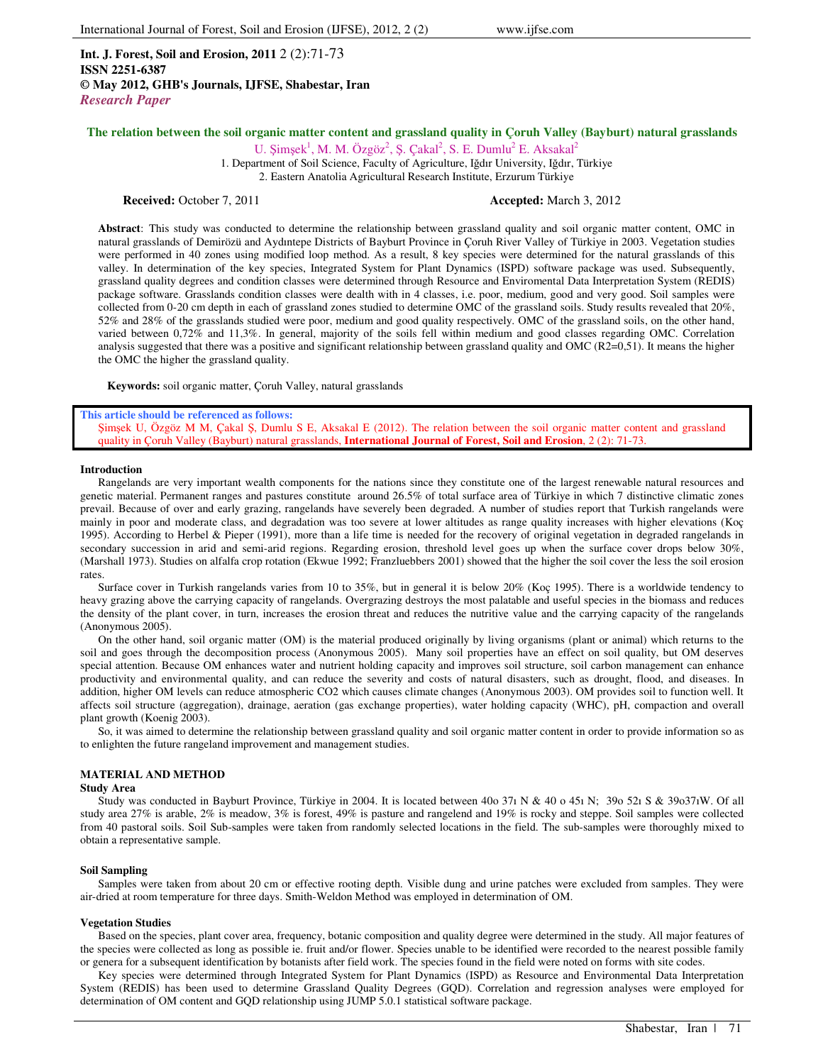**Int. J. Forest, Soil and Erosion, 2011** 2 (2):71-73 **ISSN 2251-6387 © May 2012, GHB's Journals, IJFSE, Shabestar, Iran** *Research Paper*

U. Şimşek<sup>1</sup>, M. M. Özgöz<sup>2</sup>, Ş. Çakal<sup>2</sup>, S. E. Dumlu<sup>2</sup> E. Aksakal<sup>2</sup> 1. Department of Soil Science, Faculty of Agriculture, Iğdır University, Iğdır, Türkiye 2. Eastern Anatolia Agricultural Research Institute, Erzurum Türkiye

**Received:** October 7, 2011 **Accepted: March 3, 2012 Accepted: March 3, 2012** 

**Abstract**: This study was conducted to determine the relationship between grassland quality and soil organic matter content, OMC in natural grasslands of Demirözü and Aydıntepe Districts of Bayburt Province in Çoruh River Valley of Türkiye in 2003. Vegetation studies were performed in 40 zones using modified loop method. As a result, 8 key species were determined for the natural grasslands of this valley. In determination of the key species, Integrated System for Plant Dynamics (ISPD) software package was used. Subsequently, grassland quality degrees and condition classes were determined through Resource and Enviromental Data Interpretation System (REDIS) package software. Grasslands condition classes were dealth with in 4 classes, i.e. poor, medium, good and very good. Soil samples were collected from 0-20 cm depth in each of grassland zones studied to determine OMC of the grassland soils. Study results revealed that 20%, 52% and 28% of the grasslands studied were poor, medium and good quality respectively. OMC of the grassland soils, on the other hand, varied between 0,72% and 11,3%. In general, majority of the soils fell within medium and good classes regarding OMC. Correlation analysis suggested that there was a positive and significant relationship between grassland quality and OMC (R2=0,51). It means the higher the OMC the higher the grassland quality.

**Keywords:** soil organic matter, Çoruh Valley, natural grasslands

### **This article should be referenced as follows:**

Şimşek U, Özgöz M M, Çakal Ş, Dumlu S E, Aksakal E (2012). The relation between the soil organic matter content and grassland quality in Çoruh Valley (Bayburt) natural grasslands, **International Journal of Forest, Soil and Erosion**, 2 (2): 71-73.

#### **Introduction**

Rangelands are very important wealth components for the nations since they constitute one of the largest renewable natural resources and genetic material. Permanent ranges and pastures constitute around 26.5% of total surface area of Türkiye in which 7 distinctive climatic zones prevail. Because of over and early grazing, rangelands have severely been degraded. A number of studies report that Turkish rangelands were mainly in poor and moderate class, and degradation was too severe at lower altitudes as range quality increases with higher elevations (Koç 1995). According to Herbel & Pieper (1991), more than a life time is needed for the recovery of original vegetation in degraded rangelands in secondary succession in arid and semi-arid regions. Regarding erosion, threshold level goes up when the surface cover drops below 30%, (Marshall 1973). Studies on alfalfa crop rotation (Ekwue 1992; Franzluebbers 2001) showed that the higher the soil cover the less the soil erosion rates.

Surface cover in Turkish rangelands varies from 10 to 35%, but in general it is below 20% (Koç 1995). There is a worldwide tendency to heavy grazing above the carrying capacity of rangelands. Overgrazing destroys the most palatable and useful species in the biomass and reduces the density of the plant cover, in turn, increases the erosion threat and reduces the nutritive value and the carrying capacity of the rangelands (Anonymous 2005).

On the other hand, soil organic matter (OM) is the material produced originally by living organisms (plant or animal) which returns to the soil and goes through the decomposition process (Anonymous 2005). Many soil properties have an effect on soil quality, but OM deserves special attention. Because OM enhances water and nutrient holding capacity and improves soil structure, soil carbon management can enhance productivity and environmental quality, and can reduce the severity and costs of natural disasters, such as drought, flood, and diseases. In addition, higher OM levels can reduce atmospheric CO2 which causes climate changes (Anonymous 2003). OM provides soil to function well. It affects soil structure (aggregation), drainage, aeration (gas exchange properties), water holding capacity (WHC), pH, compaction and overall plant growth (Koenig 2003).

So, it was aimed to determine the relationship between grassland quality and soil organic matter content in order to provide information so as to enlighten the future rangeland improvement and management studies.

# **MATERIAL AND METHOD**

## **Study Area**

Study was conducted in Bayburt Province, Türkiye in 2004. It is located between 40o 37ı N & 40 o 45ı N; 39o 52ı S & 39o37ıW. Of all study area 27% is arable, 2% is meadow, 3% is forest, 49% is pasture and rangelend and 19% is rocky and steppe. Soil samples were collected from 40 pastoral soils. Soil Sub-samples were taken from randomly selected locations in the field. The sub-samples were thoroughly mixed to obtain a representative sample.

## **Soil Sampling**

Samples were taken from about 20 cm or effective rooting depth. Visible dung and urine patches were excluded from samples. They were air-dried at room temperature for three days. Smith-Weldon Method was employed in determination of OM.

## **Vegetation Studies**

Based on the species, plant cover area, frequency, botanic composition and quality degree were determined in the study. All major features of the species were collected as long as possible ie. fruit and/or flower. Species unable to be identified were recorded to the nearest possible family or genera for a subsequent identification by botanists after field work. The species found in the field were noted on forms with site codes.

Key species were determined through Integrated System for Plant Dynamics (ISPD) as Resource and Environmental Data Interpretation System (REDIS) has been used to determine Grassland Quality Degrees (GQD). Correlation and regression analyses were employed for determination of OM content and GQD relationship using JUMP 5.0.1 statistical software package.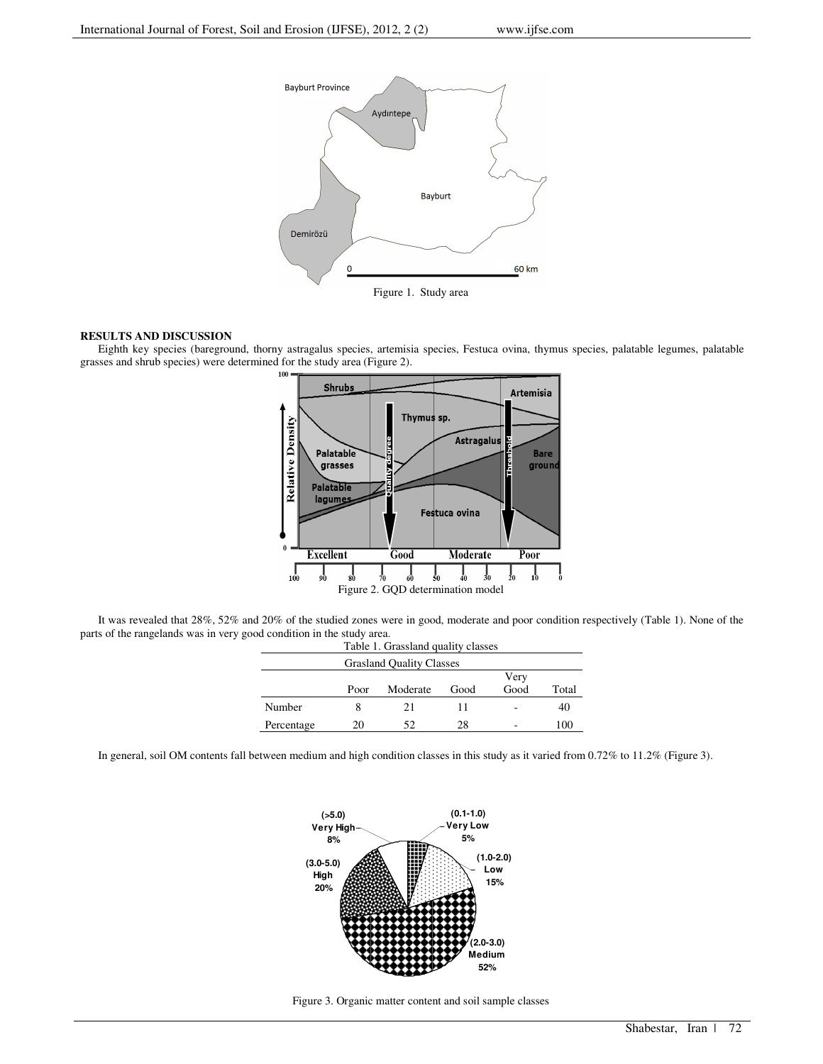

Figure 1. Study area

# **RESULTS AND DISCUSSION**

Eighth key species (bareground, thorny astragalus species, artemisia species, Festuca ovina, thymus species, palatable legumes, palatable grasses and shrub species) were determined for the study area (Figure 2).



It was revealed that 28%, 52% and 20% of the studied zones were in good, moderate and poor condition respectively (Table 1). None of the parts of the rangelands was in very good condition in the study area.

| Table 1. Grassland quality classes |      |          |      |                          |       |
|------------------------------------|------|----------|------|--------------------------|-------|
| <b>Grasland Quality Classes</b>    |      |          |      |                          |       |
|                                    |      |          |      | Very                     |       |
|                                    | Poor | Moderate | Good | Good                     | Total |
| Number                             |      | 21       | 11   | $\overline{\phantom{0}}$ | 40    |
| Percentage                         | 20   | 52.      | 28   | ٠                        | 100   |

In general, soil OM contents fall between medium and high condition classes in this study as it varied from 0.72% to 11.2% (Figure 3).



Figure 3. Organic matter content and soil sample classes